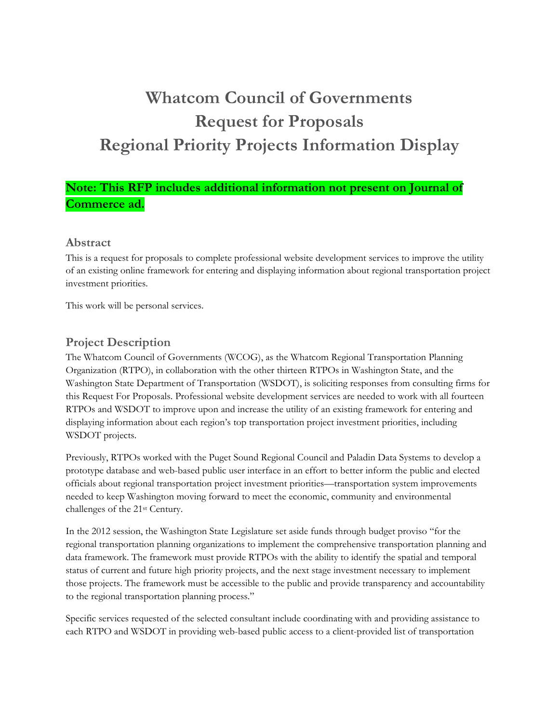# **Whatcom Council of Governments Request for Proposals Regional Priority Projects Information Display**

## **Note: This RFP includes additional information not present on Journal of Commerce ad.**

## **Abstract**

This is a request for proposals to complete professional website development services to improve the utility of an existing online framework for entering and displaying information about regional transportation project investment priorities.

This work will be personal services.

## **Project Description**

The Whatcom Council of Governments (WCOG), as the Whatcom Regional Transportation Planning Organization (RTPO), in collaboration with the other thirteen RTPOs in Washington State, and the Washington State Department of Transportation (WSDOT), is soliciting responses from consulting firms for this Request For Proposals. Professional website development services are needed to work with all fourteen RTPOs and WSDOT to improve upon and increase the utility of an existing framework for entering and displaying information about each region's top transportation project investment priorities, including WSDOT projects.

Previously, RTPOs worked with the Puget Sound Regional Council and Paladin Data Systems to develop a prototype database and web-based public user interface in an effort to better inform the public and elected officials about regional transportation project investment priorities—transportation system improvements needed to keep Washington moving forward to meet the economic, community and environmental challenges of the 21st Century.

In the 2012 session, the Washington State Legislature set aside funds through budget proviso "for the regional transportation planning organizations to implement the comprehensive transportation planning and data framework. The framework must provide RTPOs with the ability to identify the spatial and temporal status of current and future high priority projects, and the next stage investment necessary to implement those projects. The framework must be accessible to the public and provide transparency and accountability to the regional transportation planning process."

Specific services requested of the selected consultant include coordinating with and providing assistance to each RTPO and WSDOT in providing web-based public access to a client-provided list of transportation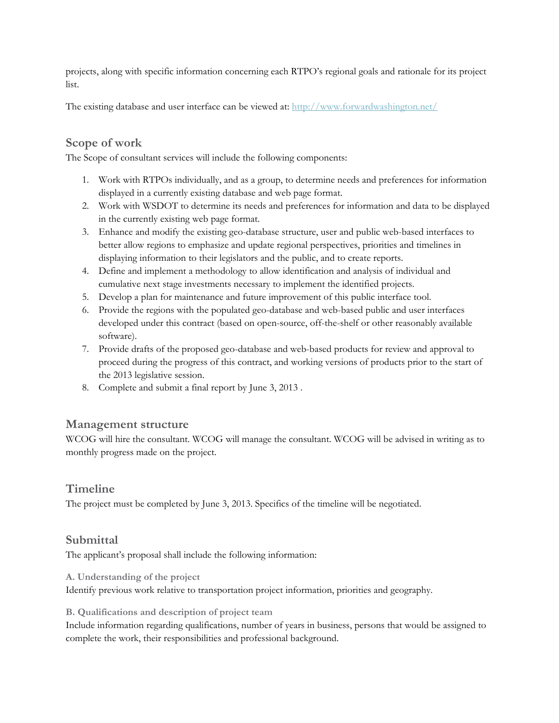projects, along with specific information concerning each RTPO's regional goals and rationale for its project list.

The existing database and user interface can be viewed at: http://www.forwardwashington.net/

## **Scope of work**

The Scope of consultant services will include the following components:

- 1. Work with RTPOs individually, and as a group, to determine needs and preferences for information displayed in a currently existing database and web page format.
- 2. Work with WSDOT to determine its needs and preferences for information and data to be displayed in the currently existing web page format.
- 3. Enhance and modify the existing geo-database structure, user and public web-based interfaces to better allow regions to emphasize and update regional perspectives, priorities and timelines in displaying information to their legislators and the public, and to create reports.
- 4. Define and implement a methodology to allow identification and analysis of individual and cumulative next stage investments necessary to implement the identified projects.
- 5. Develop a plan for maintenance and future improvement of this public interface tool.
- 6. Provide the regions with the populated geo-database and web-based public and user interfaces developed under this contract (based on open-source, off-the-shelf or other reasonably available software).
- 7. Provide drafts of the proposed geo-database and web-based products for review and approval to proceed during the progress of this contract, and working versions of products prior to the start of the 2013 legislative session.
- 8. Complete and submit a final report by June 3, 2013 .

#### **Management structure**

WCOG will hire the consultant. WCOG will manage the consultant. WCOG will be advised in writing as to monthly progress made on the project.

## **Timeline**

The project must be completed by June 3, 2013. Specifics of the timeline will be negotiated.

## **Submittal**

The applicant's proposal shall include the following information:

#### **A. Understanding of the project**

Identify previous work relative to transportation project information, priorities and geography.

#### **B. Qualifications and description of project team**

Include information regarding qualifications, number of years in business, persons that would be assigned to complete the work, their responsibilities and professional background.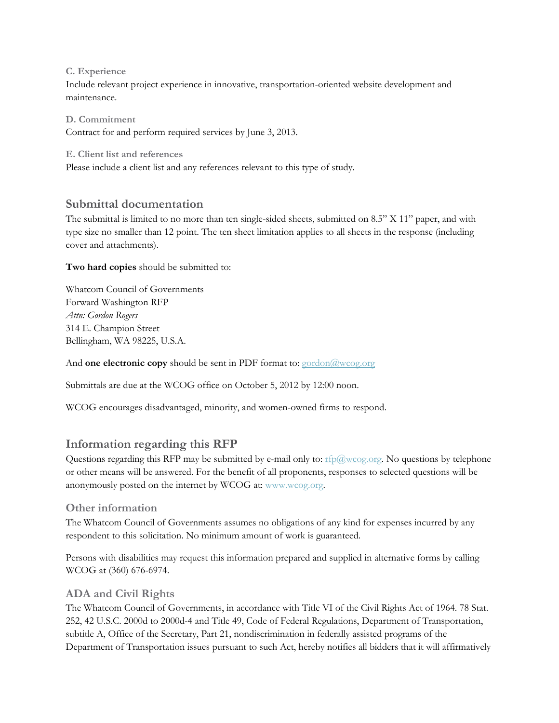#### **C. Experience**

Include relevant project experience in innovative, transportation-oriented website development and maintenance.

**D. Commitment**  Contract for and perform required services by June 3, 2013.

**E. Client list and references** 

Please include a client list and any references relevant to this type of study.

## **Submittal documentation**

The submittal is limited to no more than ten single-sided sheets, submitted on 8.5" X 11" paper, and with type size no smaller than 12 point. The ten sheet limitation applies to all sheets in the response (including cover and attachments).

**Two hard copies** should be submitted to:

Whatcom Council of Governments Forward Washington RFP *Attn: Gordon Rogers*  314 E. Champion Street Bellingham, WA 98225, U.S.A.

And **one electronic copy** should be sent in PDF format to: gordon@wcog.org

Submittals are due at the WCOG office on October 5, 2012 by 12:00 noon.

WCOG encourages disadvantaged, minority, and women-owned firms to respond.

## **Information regarding this RFP**

Questions regarding this RFP may be submitted by e-mail only to:  $rfp@wcoq.org$ . No questions by telephone or other means will be answered. For the benefit of all proponents, responses to selected questions will be anonymously posted on the internet by WCOG at: www.wcog.org.

#### **Other information**

The Whatcom Council of Governments assumes no obligations of any kind for expenses incurred by any respondent to this solicitation. No minimum amount of work is guaranteed.

Persons with disabilities may request this information prepared and supplied in alternative forms by calling WCOG at (360) 676-6974.

## **ADA and Civil Rights**

The Whatcom Council of Governments, in accordance with Title VI of the Civil Rights Act of 1964. 78 Stat. 252, 42 U.S.C. 2000d to 2000d-4 and Title 49, Code of Federal Regulations, Department of Transportation, subtitle A, Office of the Secretary, Part 21, nondiscrimination in federally assisted programs of the Department of Transportation issues pursuant to such Act, hereby notifies all bidders that it will affirmatively